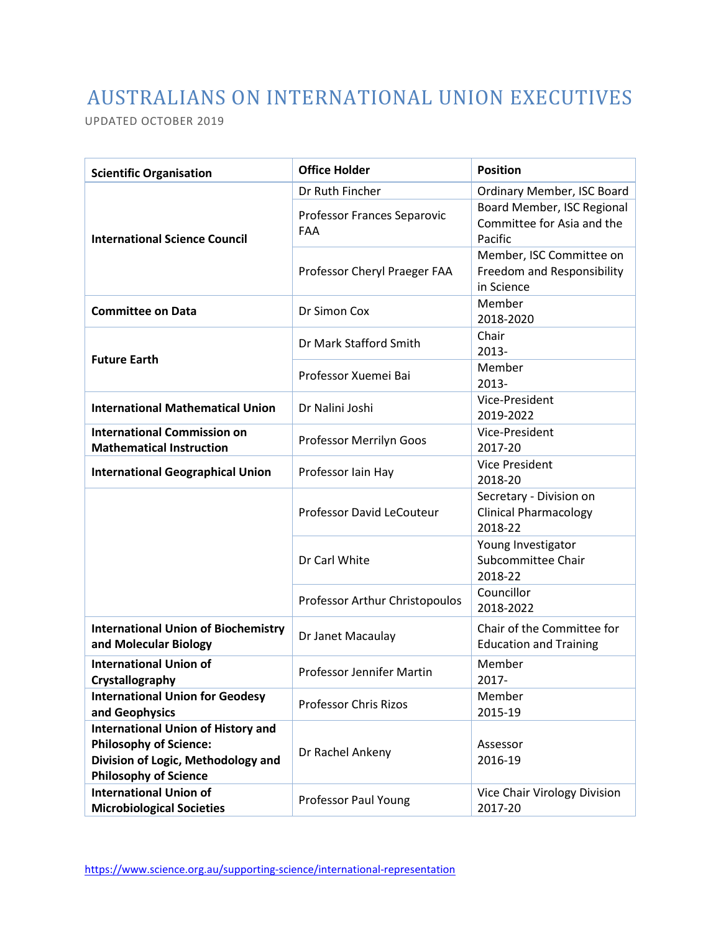## AUSTRALIANS ON INTERNATIONAL UNION EXECUTIVES

UPDATED OCTOBER 2019

| <b>Scientific Organisation</b>                                                                                                                   | <b>Office Holder</b>               | <b>Position</b>                                                      |
|--------------------------------------------------------------------------------------------------------------------------------------------------|------------------------------------|----------------------------------------------------------------------|
| <b>International Science Council</b>                                                                                                             | Dr Ruth Fincher                    | Ordinary Member, ISC Board                                           |
|                                                                                                                                                  | Professor Frances Separovic<br>FAA | Board Member, ISC Regional<br>Committee for Asia and the<br>Pacific  |
|                                                                                                                                                  | Professor Cheryl Praeger FAA       | Member, ISC Committee on<br>Freedom and Responsibility<br>in Science |
| <b>Committee on Data</b>                                                                                                                         | Dr Simon Cox                       | Member<br>2018-2020                                                  |
|                                                                                                                                                  | Dr Mark Stafford Smith             | Chair<br>2013-                                                       |
| <b>Future Earth</b>                                                                                                                              | Professor Xuemei Bai               | Member<br>2013-                                                      |
| <b>International Mathematical Union</b>                                                                                                          | Dr Nalini Joshi                    | Vice-President<br>2019-2022                                          |
| <b>International Commission on</b><br><b>Mathematical Instruction</b>                                                                            | Professor Merrilyn Goos            | Vice-President<br>2017-20                                            |
| <b>International Geographical Union</b>                                                                                                          | Professor Iain Hay                 | <b>Vice President</b><br>2018-20                                     |
|                                                                                                                                                  | Professor David LeCouteur          | Secretary - Division on<br><b>Clinical Pharmacology</b><br>2018-22   |
|                                                                                                                                                  | Dr Carl White                      | Young Investigator<br>Subcommittee Chair<br>2018-22                  |
|                                                                                                                                                  | Professor Arthur Christopoulos     | Councillor<br>2018-2022                                              |
| <b>International Union of Biochemistry</b><br>and Molecular Biology                                                                              | Dr Janet Macaulay                  | Chair of the Committee for<br><b>Education and Training</b>          |
| <b>International Union of</b><br>Crystallography                                                                                                 | Professor Jennifer Martin          | Member<br>2017-                                                      |
| <b>International Union for Geodesy</b><br>and Geophysics                                                                                         | Professor Chris Rizos              | Member<br>2015-19                                                    |
| <b>International Union of History and</b><br><b>Philosophy of Science:</b><br>Division of Logic, Methodology and<br><b>Philosophy of Science</b> | Dr Rachel Ankeny                   | Assessor<br>2016-19                                                  |
| <b>International Union of</b><br><b>Microbiological Societies</b>                                                                                | <b>Professor Paul Young</b>        | Vice Chair Virology Division<br>2017-20                              |